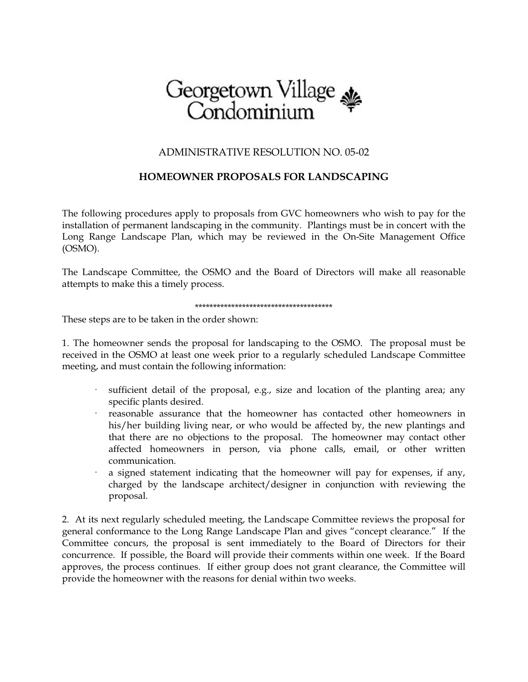

## ADMINISTRATIVE RESOLUTION NO. 05-02

## **HOMEOWNER PROPOSALS FOR LANDSCAPING**

The following procedures apply to proposals from GVC homeowners who wish to pay for the installation of permanent landscaping in the community. Plantings must be in concert with the Long Range Landscape Plan, which may be reviewed in the On-Site Management Office (OSMO).

The Landscape Committee, the OSMO and the Board of Directors will make all reasonable attempts to make this a timely process.

## \*\*\*\*\*\*\*\*\*\*\*\*\*\*\*\*\*\*\*\*\*\*\*\*\*\*\*\*\*\*\*\*\*\*\*\*\*\*

These steps are to be taken in the order shown:

1. The homeowner sends the proposal for landscaping to the OSMO. The proposal must be received in the OSMO at least one week prior to a regularly scheduled Landscape Committee meeting, and must contain the following information:

- sufficient detail of the proposal, e.g., size and location of the planting area; any specific plants desired.
- · reasonable assurance that the homeowner has contacted other homeowners in his/her building living near, or who would be affected by, the new plantings and that there are no objections to the proposal. The homeowner may contact other affected homeowners in person, via phone calls, email, or other written communication.
- a signed statement indicating that the homeowner will pay for expenses, if any, charged by the landscape architect/designer in conjunction with reviewing the proposal.

2. At its next regularly scheduled meeting, the Landscape Committee reviews the proposal for general conformance to the Long Range Landscape Plan and gives "concept clearance." If the Committee concurs, the proposal is sent immediately to the Board of Directors for their concurrence. If possible, the Board will provide their comments within one week. If the Board approves, the process continues. If either group does not grant clearance, the Committee will provide the homeowner with the reasons for denial within two weeks.